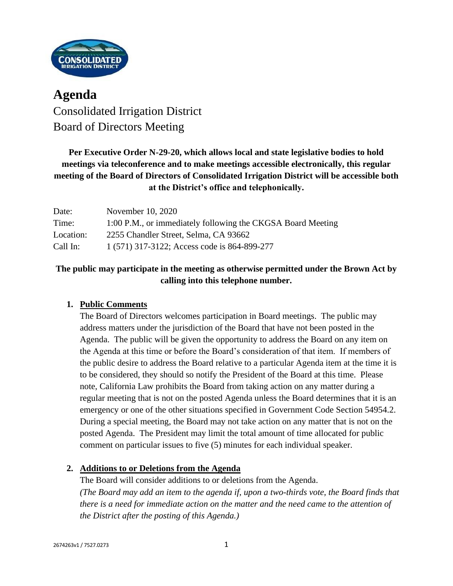

# **Agenda** Consolidated Irrigation District Board of Directors Meeting

## **Per Executive Order N-29-20, which allows local and state legislative bodies to hold meetings via teleconference and to make meetings accessible electronically, this regular meeting of the Board of Directors of Consolidated Irrigation District will be accessible both at the District's office and telephonically.**

| Date:     | November 10, 2020                                           |
|-----------|-------------------------------------------------------------|
| Time:     | 1:00 P.M., or immediately following the CKGSA Board Meeting |
| Location: | 2255 Chandler Street, Selma, CA 93662                       |
| Call In:  | 1 (571) 317-3122; Access code is 864-899-277                |

## **The public may participate in the meeting as otherwise permitted under the Brown Act by calling into this telephone number.**

## **1. Public Comments**

The Board of Directors welcomes participation in Board meetings. The public may address matters under the jurisdiction of the Board that have not been posted in the Agenda. The public will be given the opportunity to address the Board on any item on the Agenda at this time or before the Board's consideration of that item. If members of the public desire to address the Board relative to a particular Agenda item at the time it is to be considered, they should so notify the President of the Board at this time. Please note, California Law prohibits the Board from taking action on any matter during a regular meeting that is not on the posted Agenda unless the Board determines that it is an emergency or one of the other situations specified in Government Code Section 54954.2. During a special meeting, the Board may not take action on any matter that is not on the posted Agenda. The President may limit the total amount of time allocated for public comment on particular issues to five (5) minutes for each individual speaker.

### **2. Additions to or Deletions from the Agenda**

The Board will consider additions to or deletions from the Agenda. *(The Board may add an item to the agenda if, upon a two-thirds vote, the Board finds that there is a need for immediate action on the matter and the need came to the attention of the District after the posting of this Agenda.)*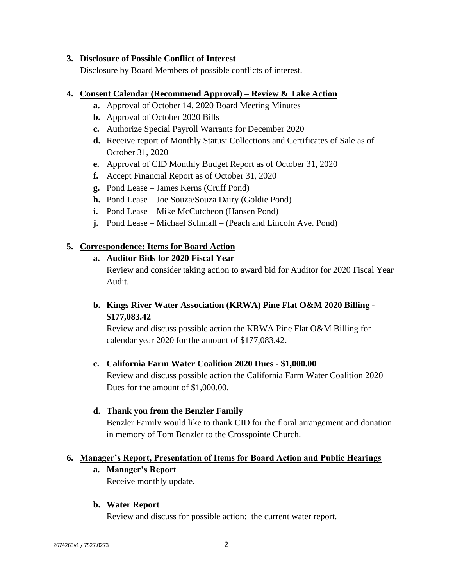#### **3. Disclosure of Possible Conflict of Interest**

Disclosure by Board Members of possible conflicts of interest.

#### **4. Consent Calendar (Recommend Approval) – Review & Take Action**

- **a.** Approval of October 14, 2020 Board Meeting Minutes
- **b.** Approval of October 2020 Bills
- **c.** Authorize Special Payroll Warrants for December 2020
- **d.** Receive report of Monthly Status: Collections and Certificates of Sale as of October 31, 2020
- **e.** Approval of CID Monthly Budget Report as of October 31, 2020
- **f.** Accept Financial Report as of October 31, 2020
- **g.** Pond Lease James Kerns (Cruff Pond)
- **h.** Pond Lease Joe Souza/Souza Dairy (Goldie Pond)
- **i.** Pond Lease Mike McCutcheon (Hansen Pond)
- **j.** Pond Lease Michael Schmall (Peach and Lincoln Ave. Pond)

#### **5. Correspondence: Items for Board Action**

#### **a. Auditor Bids for 2020 Fiscal Year**

Review and consider taking action to award bid for Auditor for 2020 Fiscal Year Audit.

## **b. Kings River Water Association (KRWA) Pine Flat O&M 2020 Billing - \$177,083.42**

Review and discuss possible action the KRWA Pine Flat O&M Billing for calendar year 2020 for the amount of \$177,083.42.

#### **c. California Farm Water Coalition 2020 Dues - \$1,000.00**

Review and discuss possible action the California Farm Water Coalition 2020 Dues for the amount of \$1,000.00.

#### **d. Thank you from the Benzler Family**

Benzler Family would like to thank CID for the floral arrangement and donation in memory of Tom Benzler to the Crosspointe Church.

#### **6. Manager's Report, Presentation of Items for Board Action and Public Hearings**

**a. Manager's Report**

Receive monthly update.

### **b. Water Report**

Review and discuss for possible action: the current water report.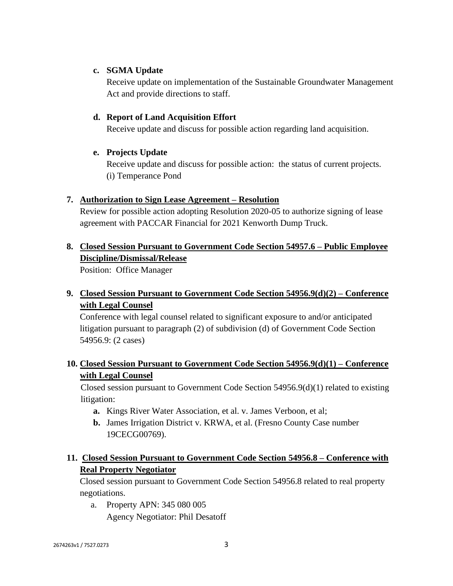#### **c. SGMA Update**

Receive update on implementation of the Sustainable Groundwater Management Act and provide directions to staff.

#### **d. Report of Land Acquisition Effort**

Receive update and discuss for possible action regarding land acquisition.

#### **e. Projects Update**

Receive update and discuss for possible action: the status of current projects. (i) Temperance Pond

#### **7. Authorization to Sign Lease Agreement – Resolution**

Review for possible action adopting Resolution 2020-05 to authorize signing of lease agreement with PACCAR Financial for 2021 Kenworth Dump Truck.

## **8. Closed Session Pursuant to Government Code Section 54957.6 – Public Employee Discipline/Dismissal/Release**

Position: Office Manager

## **9. Closed Session Pursuant to Government Code Section 54956.9(d)(2) – Conference with Legal Counsel**

Conference with legal counsel related to significant exposure to and/or anticipated litigation pursuant to paragraph (2) of subdivision (d) of Government Code Section 54956.9: (2 cases)

## **10. Closed Session Pursuant to Government Code Section 54956.9(d)(1) – Conference with Legal Counsel**

Closed session pursuant to Government Code Section 54956.9(d)(1) related to existing litigation:

- **a.** Kings River Water Association, et al. v. James Verboon, et al;
- **b.** James Irrigation District v. KRWA, et al. (Fresno County Case number 19CECG00769).

## **11. Closed Session Pursuant to Government Code Section 54956.8 – Conference with Real Property Negotiator**

Closed session pursuant to Government Code Section 54956.8 related to real property negotiations.

a. Property APN: 345 080 005 Agency Negotiator: Phil Desatoff